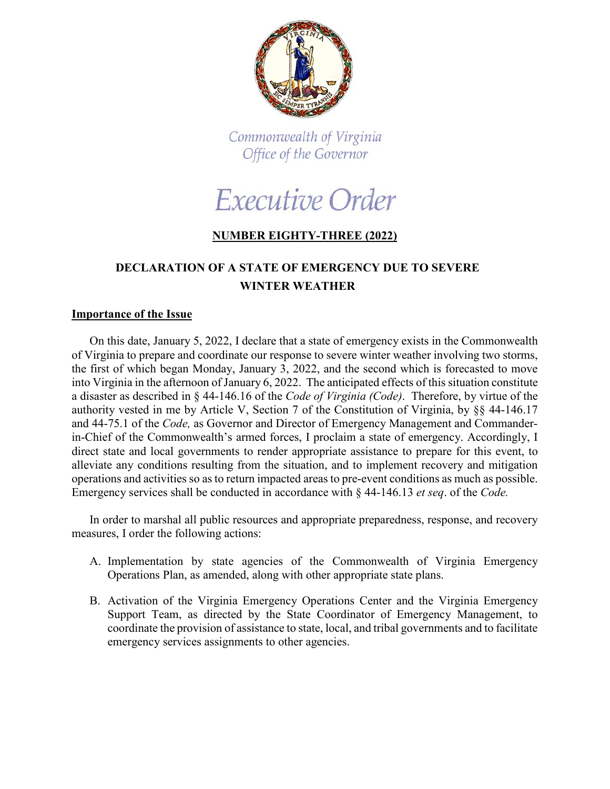

Commonwealth of Virginia Office of the Governor



## **NUMBER EIGHTY-THREE (2022)**

## **DECLARATION OF A STATE OF EMERGENCY DUE TO SEVERE WINTER WEATHER**

## **Importance of the Issue**

On this date, January 5, 2022, I declare that a state of emergency exists in the Commonwealth of Virginia to prepare and coordinate our response to severe winter weather involving two storms, the first of which began Monday, January 3, 2022, and the second which is forecasted to move into Virginia in the afternoon of January 6, 2022. The anticipated effects of this situation constitute a disaster as described in § 44-146.16 of the *Code of Virginia (Code)*. Therefore, by virtue of the authority vested in me by Article V, Section 7 of the Constitution of Virginia, by §§ 44-146.17 and 44-75.1 of the *Code,* as Governor and Director of Emergency Management and Commanderin-Chief of the Commonwealth's armed forces, I proclaim a state of emergency. Accordingly, I direct state and local governments to render appropriate assistance to prepare for this event, to alleviate any conditions resulting from the situation, and to implement recovery and mitigation operations and activities so as to return impacted areas to pre-event conditions as much as possible. Emergency services shall be conducted in accordance with § 44-146.13 *et seq*. of the *Code.*

In order to marshal all public resources and appropriate preparedness, response, and recovery measures, I order the following actions:

- A. Implementation by state agencies of the Commonwealth of Virginia Emergency Operations Plan, as amended, along with other appropriate state plans.
- B. Activation of the Virginia Emergency Operations Center and the Virginia Emergency Support Team, as directed by the State Coordinator of Emergency Management, to coordinate the provision of assistance to state, local, and tribal governments and to facilitate emergency services assignments to other agencies.